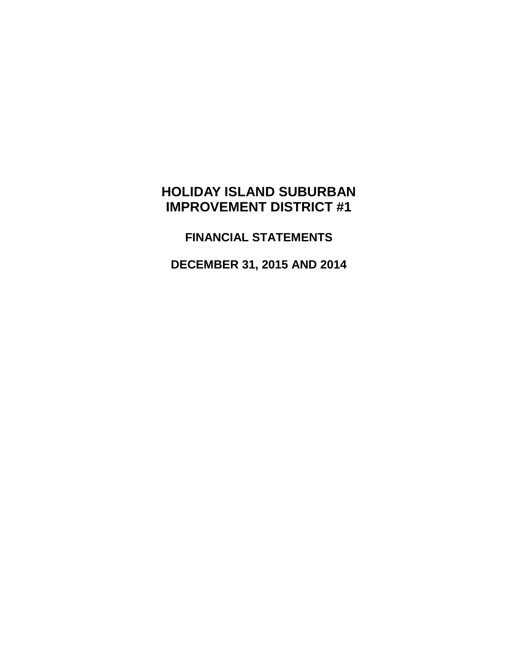# **HOLIDAY ISLAND SUBURBAN IMPROVEMENT DISTRICT #1**

**FINANCIAL STATEMENTS**

**DECEMBER 31, 2015 AND 2014**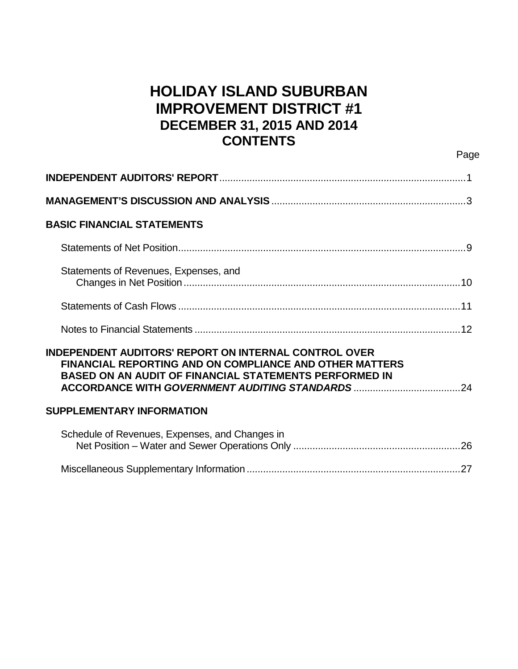# **HOLIDAY ISLAND SUBURBAN IMPROVEMENT DISTRICT #1 DECEMBER 31, 2015 AND 2014 CONTENTS**

Page

| <b>BASIC FINANCIAL STATEMENTS</b>                                                                                                                                                        |  |
|------------------------------------------------------------------------------------------------------------------------------------------------------------------------------------------|--|
|                                                                                                                                                                                          |  |
| Statements of Revenues, Expenses, and                                                                                                                                                    |  |
|                                                                                                                                                                                          |  |
|                                                                                                                                                                                          |  |
| INDEPENDENT AUDITORS' REPORT ON INTERNAL CONTROL OVER<br><b>FINANCIAL REPORTING AND ON COMPLIANCE AND OTHER MATTERS</b><br><b>BASED ON AN AUDIT OF FINANCIAL STATEMENTS PERFORMED IN</b> |  |
| <b>SUPPLEMENTARY INFORMATION</b>                                                                                                                                                         |  |
| Schedule of Revenues, Expenses, and Changes in                                                                                                                                           |  |

|--|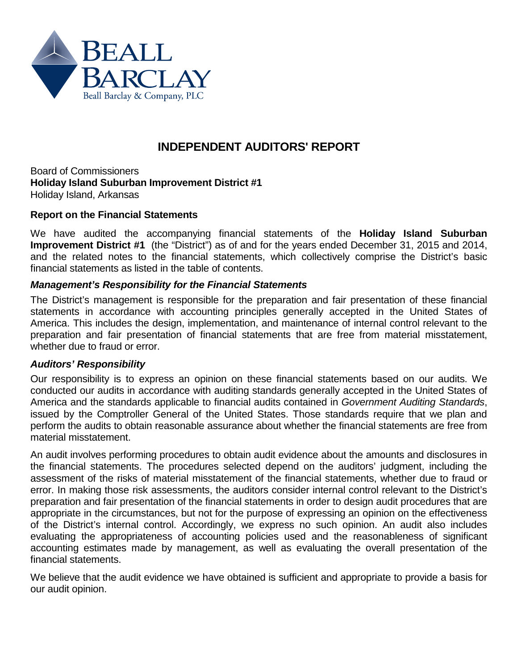

# **INDEPENDENT AUDITORS' REPORT**

Board of Commissioners **Holiday Island Suburban Improvement District #1** Holiday Island, Arkansas

### **Report on the Financial Statements**

We have audited the accompanying financial statements of the **Holiday Island Suburban Improvement District #1** (the "District") as of and for the years ended December 31, 2015 and 2014, and the related notes to the financial statements, which collectively comprise the District's basic financial statements as listed in the table of contents.

#### *Management's Responsibility for the Financial Statements*

The District's management is responsible for the preparation and fair presentation of these financial statements in accordance with accounting principles generally accepted in the United States of America. This includes the design, implementation, and maintenance of internal control relevant to the preparation and fair presentation of financial statements that are free from material misstatement, whether due to fraud or error.

#### *Auditors' Responsibility*

Our responsibility is to express an opinion on these financial statements based on our audits. We conducted our audits in accordance with auditing standards generally accepted in the United States of America and the standards applicable to financial audits contained in *Government Auditing Standards*, issued by the Comptroller General of the United States. Those standards require that we plan and perform the audits to obtain reasonable assurance about whether the financial statements are free from material misstatement.

An audit involves performing procedures to obtain audit evidence about the amounts and disclosures in the financial statements. The procedures selected depend on the auditors' judgment, including the assessment of the risks of material misstatement of the financial statements, whether due to fraud or error. In making those risk assessments, the auditors consider internal control relevant to the District's preparation and fair presentation of the financial statements in order to design audit procedures that are appropriate in the circumstances, but not for the purpose of expressing an opinion on the effectiveness of the District's internal control. Accordingly, we express no such opinion. An audit also includes evaluating the appropriateness of accounting policies used and the reasonableness of significant accounting estimates made by management, as well as evaluating the overall presentation of the financial statements.

We believe that the audit evidence we have obtained is sufficient and appropriate to provide a basis for our audit opinion.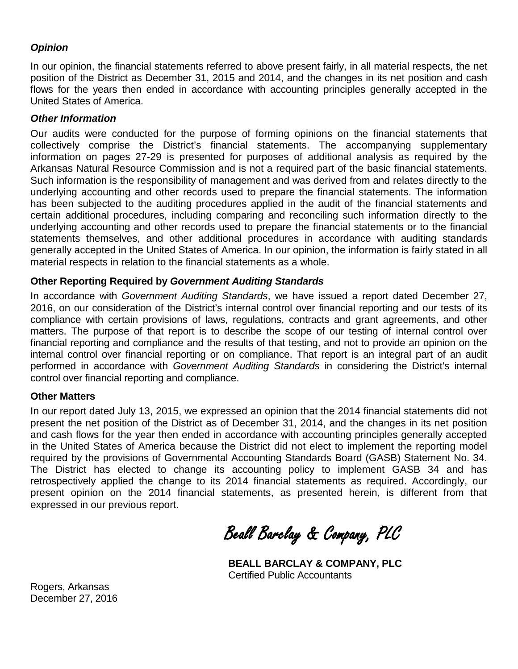### *Opinion*

In our opinion, the financial statements referred to above present fairly, in all material respects, the net position of the District as December 31, 2015 and 2014, and the changes in its net position and cash flows for the years then ended in accordance with accounting principles generally accepted in the United States of America.

### *Other Information*

Our audits were conducted for the purpose of forming opinions on the financial statements that collectively comprise the District's financial statements. The accompanying supplementary information on pages 27-29 is presented for purposes of additional analysis as required by the Arkansas Natural Resource Commission and is not a required part of the basic financial statements. Such information is the responsibility of management and was derived from and relates directly to the underlying accounting and other records used to prepare the financial statements. The information has been subjected to the auditing procedures applied in the audit of the financial statements and certain additional procedures, including comparing and reconciling such information directly to the underlying accounting and other records used to prepare the financial statements or to the financial statements themselves, and other additional procedures in accordance with auditing standards generally accepted in the United States of America. In our opinion, the information is fairly stated in all material respects in relation to the financial statements as a whole.

### **Other Reporting Required by** *Government Auditing Standards*

In accordance with *Government Auditing Standards*, we have issued a report dated December 27, 2016, on our consideration of the District's internal control over financial reporting and our tests of its compliance with certain provisions of laws, regulations, contracts and grant agreements, and other matters. The purpose of that report is to describe the scope of our testing of internal control over financial reporting and compliance and the results of that testing, and not to provide an opinion on the internal control over financial reporting or on compliance. That report is an integral part of an audit performed in accordance with *Government Auditing Standards* in considering the District's internal control over financial reporting and compliance.

### **Other Matters**

In our report dated July 13, 2015, we expressed an opinion that the 2014 financial statements did not present the net position of the District as of December 31, 2014, and the changes in its net position and cash flows for the year then ended in accordance with accounting principles generally accepted in the United States of America because the District did not elect to implement the reporting model required by the provisions of Governmental Accounting Standards Board (GASB) Statement No. 34. The District has elected to change its accounting policy to implement GASB 34 and has retrospectively applied the change to its 2014 financial statements as required. Accordingly, our present opinion on the 2014 financial statements, as presented herein, is different from that expressed in our previous report.

Beall Barclay & Company, PLC

**BEALL BARCLAY & COMPANY, PLC** Certified Public Accountants

Rogers, Arkansas December 27, 2016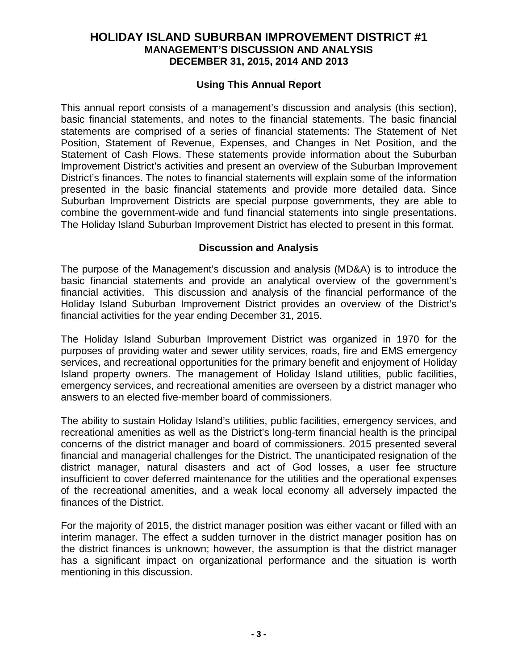### **Using This Annual Report**

This annual report consists of a management's discussion and analysis (this section), basic financial statements, and notes to the financial statements. The basic financial statements are comprised of a series of financial statements: The Statement of Net Position, Statement of Revenue, Expenses, and Changes in Net Position, and the Statement of Cash Flows. These statements provide information about the Suburban Improvement District's activities and present an overview of the Suburban Improvement District's finances. The notes to financial statements will explain some of the information presented in the basic financial statements and provide more detailed data. Since Suburban Improvement Districts are special purpose governments, they are able to combine the government-wide and fund financial statements into single presentations. The Holiday Island Suburban Improvement District has elected to present in this format.

### **Discussion and Analysis**

The purpose of the Management's discussion and analysis (MD&A) is to introduce the basic financial statements and provide an analytical overview of the government's financial activities. This discussion and analysis of the financial performance of the Holiday Island Suburban Improvement District provides an overview of the District's financial activities for the year ending December 31, 2015.

The Holiday Island Suburban Improvement District was organized in 1970 for the purposes of providing water and sewer utility services, roads, fire and EMS emergency services, and recreational opportunities for the primary benefit and enjoyment of Holiday Island property owners. The management of Holiday Island utilities, public facilities, emergency services, and recreational amenities are overseen by a district manager who answers to an elected five-member board of commissioners.

The ability to sustain Holiday Island's utilities, public facilities, emergency services, and recreational amenities as well as the District's long-term financial health is the principal concerns of the district manager and board of commissioners. 2015 presented several financial and managerial challenges for the District. The unanticipated resignation of the district manager, natural disasters and act of God losses, a user fee structure insufficient to cover deferred maintenance for the utilities and the operational expenses of the recreational amenities, and a weak local economy all adversely impacted the finances of the District.

For the majority of 2015, the district manager position was either vacant or filled with an interim manager. The effect a sudden turnover in the district manager position has on the district finances is unknown; however, the assumption is that the district manager has a significant impact on organizational performance and the situation is worth mentioning in this discussion.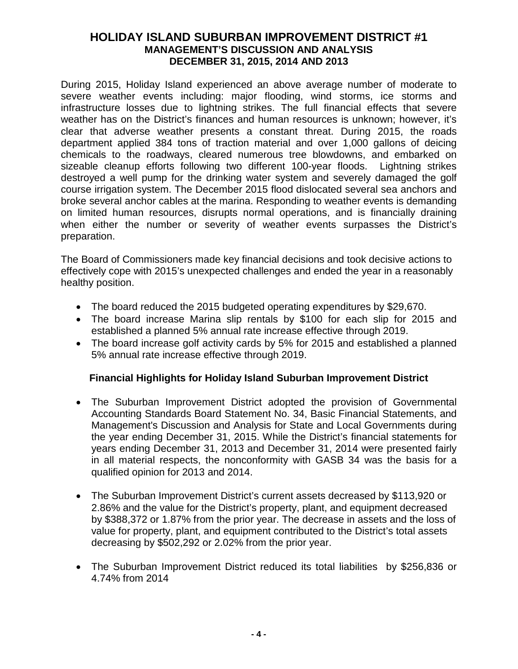During 2015, Holiday Island experienced an above average number of moderate to severe weather events including: major flooding, wind storms, ice storms and infrastructure losses due to lightning strikes. The full financial effects that severe weather has on the District's finances and human resources is unknown; however, it's clear that adverse weather presents a constant threat. During 2015, the roads department applied 384 tons of traction material and over 1,000 gallons of deicing chemicals to the roadways, cleared numerous tree blowdowns, and embarked on sizeable cleanup efforts following two different 100-year floods. Lightning strikes destroyed a well pump for the drinking water system and severely damaged the golf course irrigation system. The December 2015 flood dislocated several sea anchors and broke several anchor cables at the marina. Responding to weather events is demanding on limited human resources, disrupts normal operations, and is financially draining when either the number or severity of weather events surpasses the District's preparation.

The Board of Commissioners made key financial decisions and took decisive actions to effectively cope with 2015's unexpected challenges and ended the year in a reasonably healthy position.

- The board reduced the 2015 budgeted operating expenditures by \$29,670.
- The board increase Marina slip rentals by \$100 for each slip for 2015 and established a planned 5% annual rate increase effective through 2019.
- The board increase golf activity cards by 5% for 2015 and established a planned 5% annual rate increase effective through 2019.

# **Financial Highlights for Holiday Island Suburban Improvement District**

- The Suburban Improvement District adopted the provision of Governmental Accounting Standards Board Statement No. 34, Basic Financial Statements, and Management's Discussion and Analysis for State and Local Governments during the year ending December 31, 2015. While the District's financial statements for years ending December 31, 2013 and December 31, 2014 were presented fairly in all material respects, the nonconformity with GASB 34 was the basis for a qualified opinion for 2013 and 2014.
- The Suburban Improvement District's current assets decreased by \$113,920 or 2.86% and the value for the District's property, plant, and equipment decreased by \$388,372 or 1.87% from the prior year. The decrease in assets and the loss of value for property, plant, and equipment contributed to the District's total assets decreasing by \$502,292 or 2.02% from the prior year.
- The Suburban Improvement District reduced its total liabilities by \$256,836 or 4.74% from 2014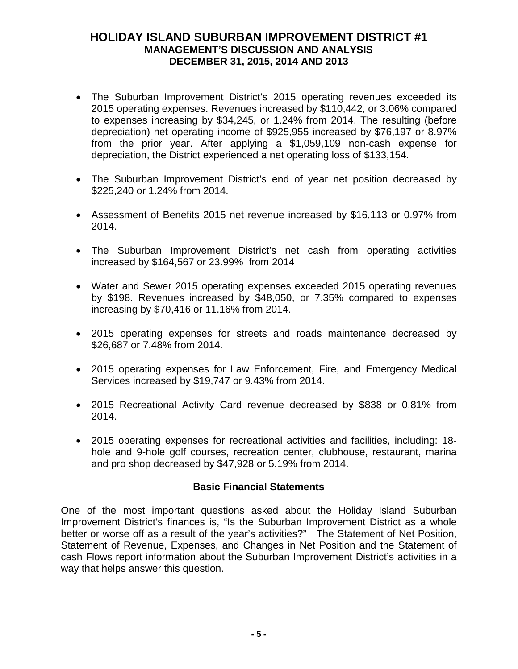- The Suburban Improvement District's 2015 operating revenues exceeded its 2015 operating expenses. Revenues increased by \$110,442, or 3.06% compared to expenses increasing by \$34,245, or 1.24% from 2014. The resulting (before depreciation) net operating income of \$925,955 increased by \$76,197 or 8.97% from the prior year. After applying a \$1,059,109 non-cash expense for depreciation, the District experienced a net operating loss of \$133,154.
- The Suburban Improvement District's end of year net position decreased by \$225,240 or 1.24% from 2014.
- Assessment of Benefits 2015 net revenue increased by \$16,113 or 0.97% from 2014.
- The Suburban Improvement District's net cash from operating activities increased by \$164,567 or 23.99% from 2014
- Water and Sewer 2015 operating expenses exceeded 2015 operating revenues by \$198. Revenues increased by \$48,050, or 7.35% compared to expenses increasing by \$70,416 or 11.16% from 2014.
- 2015 operating expenses for streets and roads maintenance decreased by \$26,687 or 7.48% from 2014.
- 2015 operating expenses for Law Enforcement, Fire, and Emergency Medical Services increased by \$19,747 or 9.43% from 2014.
- 2015 Recreational Activity Card revenue decreased by \$838 or 0.81% from 2014.
- 2015 operating expenses for recreational activities and facilities, including: 18 hole and 9-hole golf courses, recreation center, clubhouse, restaurant, marina and pro shop decreased by \$47,928 or 5.19% from 2014.

# **Basic Financial Statements**

One of the most important questions asked about the Holiday Island Suburban Improvement District's finances is, "Is the Suburban Improvement District as a whole better or worse off as a result of the year's activities?" The Statement of Net Position, Statement of Revenue, Expenses, and Changes in Net Position and the Statement of cash Flows report information about the Suburban Improvement District's activities in a way that helps answer this question.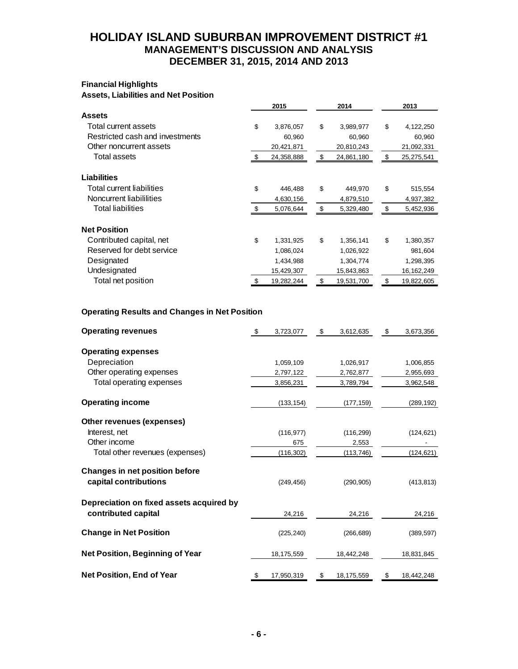#### **Financial Highlights Assets, Liabilities and Net Position**

|                                 |      | 2015       | 2014             | 2013             |
|---------------------------------|------|------------|------------------|------------------|
| <b>Assets</b>                   |      |            |                  |                  |
| Total current assets            | \$   | 3,876,057  | \$<br>3,989,977  | \$<br>4,122,250  |
| Restricted cash and investments |      | 60,960     | 60,960           | 60,960           |
| Other noncurrent assets         |      | 20,421,871 | 20,810,243       | 21,092,331       |
| Total assets                    | -\$  | 24,358,888 | \$<br>24,861,180 | \$<br>25,275,541 |
| <b>Liabilities</b>              |      |            |                  |                  |
| Total current liabilities       | \$   | 446,488    | \$<br>449,970    | \$<br>515,554    |
| Noncurrent liabililities        |      | 4,630,156  | 4,879,510        | 4,937,382        |
| <b>Total liabilities</b>        | \$   | 5,076,644  | \$<br>5,329,480  | \$<br>5,452,936  |
| <b>Net Position</b>             |      |            |                  |                  |
| Contributed capital, net        | \$   | 1,331,925  | \$<br>1,356,141  | \$<br>1,380,357  |
| Reserved for debt service       |      | 1,086,024  | 1,026,922        | 981,604          |
| Designated                      |      | 1,434,988  | 1,304,774        | 1,298,395        |
| Undesignated                    |      | 15,429,307 | 15,843,863       | 16, 162, 249     |
| Total net position              | - \$ | 19,282,244 | \$<br>19,531,700 | \$<br>19,822,605 |
|                                 |      |            |                  |                  |

### **Operating Results and Changes in Net Position**

| <b>Operating revenues</b>                                       | \$<br>3,723,077  | \$<br>3,612,635  | \$<br>3,673,356  |
|-----------------------------------------------------------------|------------------|------------------|------------------|
| <b>Operating expenses</b>                                       |                  |                  |                  |
| Depreciation                                                    | 1,059,109        | 1,026,917        | 1,006,855        |
| Other operating expenses                                        | 2,797,122        | 2,762,877        | 2,955,693        |
| Total operating expenses                                        | 3,856,231        | 3,789,794        | 3,962,548        |
| <b>Operating income</b>                                         | (133, 154)       | (177, 159)       | (289, 192)       |
| Other revenues (expenses)                                       |                  |                  |                  |
| Interest, net                                                   | (116, 977)       | (116, 299)       | (124, 621)       |
| Other income                                                    | 675              | 2,553            |                  |
| Total other revenues (expenses)                                 | (116, 302)       | (113, 746)       | (124, 621)       |
| <b>Changes in net position before</b><br>capital contributions  | (249, 456)       | (290, 905)       | (413, 813)       |
| Depreciation on fixed assets acquired by<br>contributed capital | 24,216           | 24,216           | 24,216           |
| <b>Change in Net Position</b>                                   | (225, 240)       | (266, 689)       | (389, 597)       |
| Net Position, Beginning of Year                                 | 18,175,559       | 18,442,248       | 18,831,845       |
| Net Position, End of Year                                       | \$<br>17,950,319 | \$<br>18,175,559 | \$<br>18,442,248 |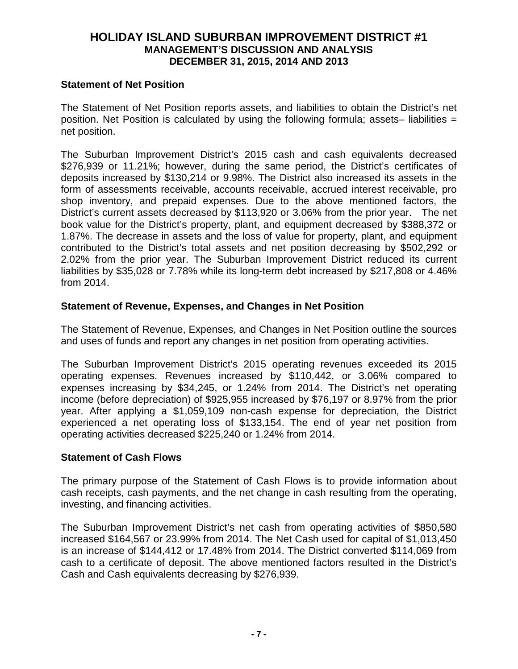#### **Statement of Net Position**

The Statement of Net Position reports assets, and liabilities to obtain the District's net position. Net Position is calculated by using the following formula; assets– liabilities  $=$ net position.

The Suburban Improvement District's 2015 cash and cash equivalents decreased \$276,939 or 11.21%; however, during the same period, the District's certificates of deposits increased by \$130,214 or 9.98%. The District also increased its assets in the form of assessments receivable, accounts receivable, accrued interest receivable, pro shop inventory, and prepaid expenses. Due to the above mentioned factors, the District's current assets decreased by \$113,920 or 3.06% from the prior year. The net book value for the District's property, plant, and equipment decreased by \$388,372 or 1.87%. The decrease in assets and the loss of value for property, plant, and equipment contributed to the District's total assets and net position decreasing by \$502,292 or 2.02% from the prior year. The Suburban Improvement District reduced its current liabilities by \$35,028 or 7.78% while its long-term debt increased by \$217,808 or 4.46% from 2014.

### **Statement of Revenue, Expenses, and Changes in Net Position**

The Statement of Revenue, Expenses, and Changes in Net Position outline the sources and uses of funds and report any changes in net position from operating activities.

The Suburban Improvement District's 2015 operating revenues exceeded its 2015 operating expenses. Revenues increased by \$110,442, or 3.06% compared to expenses increasing by \$34,245, or 1.24% from 2014. The District's net operating income (before depreciation) of \$925,955 increased by \$76,197 or 8.97% from the prior year. After applying a \$1,059,109 non-cash expense for depreciation, the District experienced a net operating loss of \$133,154. The end of year net position from operating activities decreased \$225,240 or 1.24% from 2014.

### **Statement of Cash Flows**

The primary purpose of the Statement of Cash Flows is to provide information about cash receipts, cash payments, and the net change in cash resulting from the operating, investing, and financing activities.

The Suburban Improvement District's net cash from operating activities of \$850,580 increased \$164,567 or 23.99% from 2014. The Net Cash used for capital of \$1,013,450 is an increase of \$144,412 or 17.48% from 2014. The District converted \$114,069 from cash to a certificate of deposit. The above mentioned factors resulted in the District's Cash and Cash equivalents decreasing by \$276,939.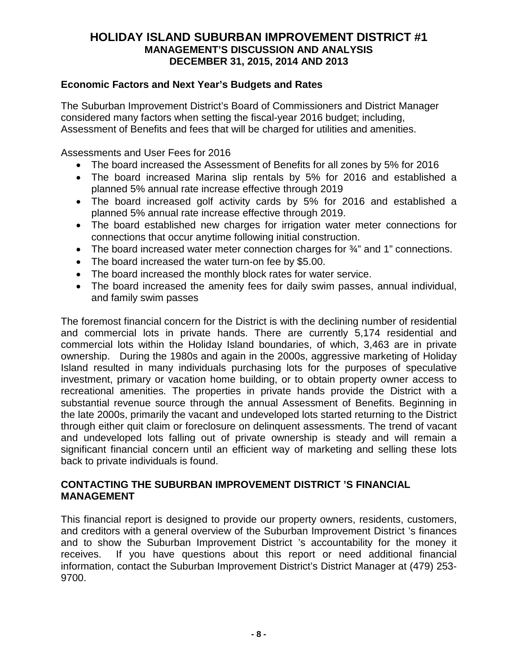### **Economic Factors and Next Year's Budgets and Rates**

The Suburban Improvement District's Board of Commissioners and District Manager considered many factors when setting the fiscal-year 2016 budget; including, Assessment of Benefits and fees that will be charged for utilities and amenities.

Assessments and User Fees for 2016

- The board increased the Assessment of Benefits for all zones by 5% for 2016
- The board increased Marina slip rentals by 5% for 2016 and established a planned 5% annual rate increase effective through 2019
- The board increased golf activity cards by 5% for 2016 and established a planned 5% annual rate increase effective through 2019.
- The board established new charges for irrigation water meter connections for connections that occur anytime following initial construction.
- The board increased water meter connection charges for  $\frac{3}{4}$ " and 1" connections.
- The board increased the water turn-on fee by \$5.00.
- The board increased the monthly block rates for water service.
- The board increased the amenity fees for daily swim passes, annual individual, and family swim passes

The foremost financial concern for the District is with the declining number of residential and commercial lots in private hands. There are currently 5,174 residential and commercial lots within the Holiday Island boundaries, of which, 3,463 are in private ownership. During the 1980s and again in the 2000s, aggressive marketing of Holiday Island resulted in many individuals purchasing lots for the purposes of speculative investment, primary or vacation home building, or to obtain property owner access to recreational amenities. The properties in private hands provide the District with a substantial revenue source through the annual Assessment of Benefits. Beginning in the late 2000s, primarily the vacant and undeveloped lots started returning to the District through either quit claim or foreclosure on delinquent assessments. The trend of vacant and undeveloped lots falling out of private ownership is steady and will remain a significant financial concern until an efficient way of marketing and selling these lots back to private individuals is found.

### **CONTACTING THE SUBURBAN IMPROVEMENT DISTRICT 'S FINANCIAL MANAGEMENT**

This financial report is designed to provide our property owners, residents, customers, and creditors with a general overview of the Suburban Improvement District 's finances and to show the Suburban Improvement District 's accountability for the money it receives. If you have questions about this report or need additional financial information, contact the Suburban Improvement District's District Manager at (479) 253- 9700.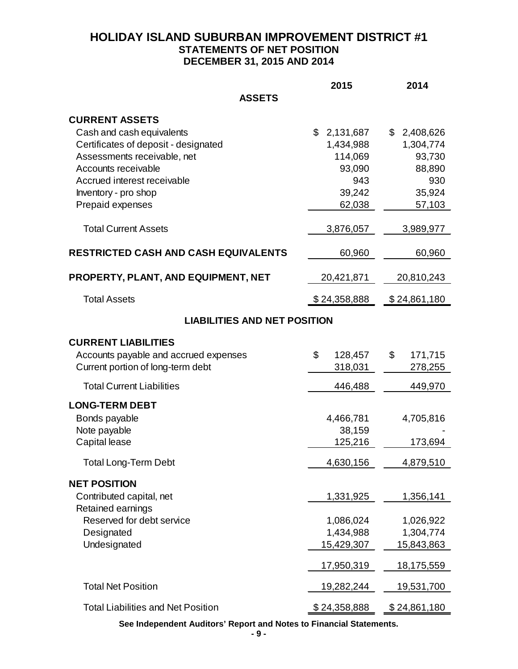# **HOLIDAY ISLAND SUBURBAN IMPROVEMENT DISTRICT #1 STATEMENTS OF NET POSITION DECEMBER 31, 2015 AND 2014**

|                                                                                                                                                                                                                                                                                                           | 2015                                                                                                | 2014                                                                                           |
|-----------------------------------------------------------------------------------------------------------------------------------------------------------------------------------------------------------------------------------------------------------------------------------------------------------|-----------------------------------------------------------------------------------------------------|------------------------------------------------------------------------------------------------|
| <b>ASSETS</b>                                                                                                                                                                                                                                                                                             |                                                                                                     |                                                                                                |
| <b>CURRENT ASSETS</b><br>Cash and cash equivalents<br>Certificates of deposit - designated<br>Assessments receivable, net<br>Accounts receivable<br>Accrued interest receivable<br>Inventory - pro shop<br>Prepaid expenses<br><b>Total Current Assets</b><br><b>RESTRICTED CASH AND CASH EQUIVALENTS</b> | \$<br>2,131,687<br>1,434,988<br>114,069<br>93,090<br>943<br>39,242<br>62,038<br>3,876,057<br>60,960 | \$2,408,626<br>1,304,774<br>93,730<br>88,890<br>930<br>35,924<br>57,103<br>3,989,977<br>60,960 |
| PROPERTY, PLANT, AND EQUIPMENT, NET                                                                                                                                                                                                                                                                       | 20,421,871                                                                                          | 20,810,243                                                                                     |
| <b>Total Assets</b>                                                                                                                                                                                                                                                                                       | \$24,358,888                                                                                        | \$24,861,180                                                                                   |
| <b>LIABILITIES AND NET POSITION</b>                                                                                                                                                                                                                                                                       |                                                                                                     |                                                                                                |
| <b>CURRENT LIABILITIES</b><br>Accounts payable and accrued expenses<br>Current portion of long-term debt                                                                                                                                                                                                  | \$<br>128,457<br>318,031                                                                            | \$<br>171,715<br>278,255                                                                       |
| <b>Total Current Liabilities</b>                                                                                                                                                                                                                                                                          | 446,488                                                                                             | 449,970                                                                                        |
| <b>LONG-TERM DEBT</b><br>Bonds payable<br>Note payable<br>Capital lease<br><b>Total Long-Term Debt</b>                                                                                                                                                                                                    | 4,466,781<br>38,159<br>125,216<br>4,630,156                                                         | 4,705,816<br>173,694<br>4,879,510                                                              |
| <b>NET POSITION</b><br>Contributed capital, net<br>Retained earnings<br>Reserved for debt service<br>Designated<br>Undesignated                                                                                                                                                                           | 1,331,925<br>1,086,024<br>1,434,988<br>15,429,307<br>17,950,319                                     | 1,356,141<br>1,026,922<br>1,304,774<br>15,843,863<br>18,175,559                                |
| <b>Total Net Position</b>                                                                                                                                                                                                                                                                                 | 19,282,244                                                                                          | 19,531,700                                                                                     |
| <b>Total Liabilities and Net Position</b>                                                                                                                                                                                                                                                                 | \$24,358,888                                                                                        | \$24,861,180                                                                                   |

**See Independent Auditors' Report and Notes to Financial Statements.**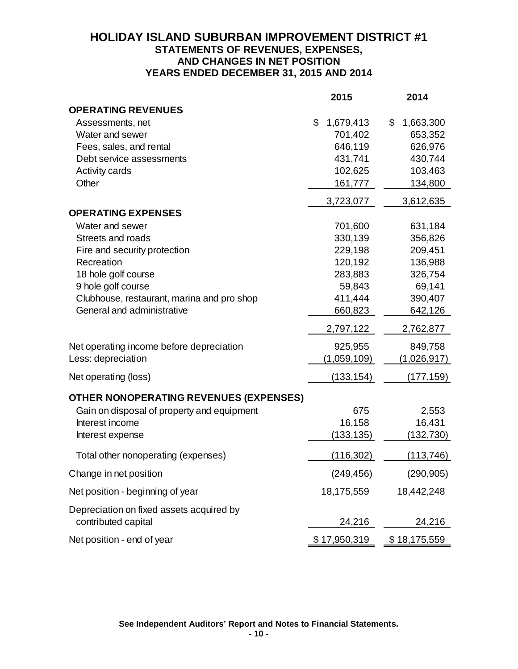# **HOLIDAY ISLAND SUBURBAN IMPROVEMENT DISTRICT #1 STATEMENTS OF REVENUES, EXPENSES, AND CHANGES IN NET POSITION YEARS ENDED DECEMBER 31, 2015 AND 2014**

|                                                                 | 2015            | 2014            |
|-----------------------------------------------------------------|-----------------|-----------------|
| <b>OPERATING REVENUES</b>                                       |                 |                 |
| Assessments, net                                                | \$<br>1,679,413 | \$<br>1,663,300 |
| Water and sewer                                                 | 701,402         | 653,352         |
| Fees, sales, and rental                                         | 646,119         | 626,976         |
| Debt service assessments                                        | 431,741         | 430,744         |
| <b>Activity cards</b>                                           | 102,625         | 103,463         |
| Other                                                           | 161,777         | 134,800         |
|                                                                 | 3,723,077       | 3,612,635       |
| <b>OPERATING EXPENSES</b>                                       |                 |                 |
| Water and sewer                                                 | 701,600         | 631,184         |
| Streets and roads                                               | 330,139         | 356,826         |
| Fire and security protection                                    | 229,198         | 209,451         |
| Recreation                                                      | 120,192         | 136,988         |
| 18 hole golf course                                             | 283,883         | 326,754         |
| 9 hole golf course                                              | 59,843          | 69,141          |
| Clubhouse, restaurant, marina and pro shop                      | 411,444         | 390,407         |
| General and administrative                                      | 660,823         | 642,126         |
|                                                                 | 2,797,122       | 2,762,877       |
| Net operating income before depreciation                        | 925,955         | 849,758         |
| Less: depreciation                                              | (1,059,109)     | (1,026,917)     |
| Net operating (loss)                                            | (133, 154)      | (177, 159)      |
| OTHER NONOPERATING REVENUES (EXPENSES)                          |                 |                 |
| Gain on disposal of property and equipment                      | 675             | 2,553           |
| Interest income                                                 | 16,158          | 16,431          |
| Interest expense                                                | (133, 135)      | (132, 730)      |
| Total other nonoperating (expenses)                             | (116, 302)      | (113, 746)      |
| Change in net position                                          | (249, 456)      | (290, 905)      |
| Net position - beginning of year                                | 18,175,559      | 18,442,248      |
| Depreciation on fixed assets acquired by<br>contributed capital | 24,216          | 24,216          |
| Net position - end of year                                      | \$17,950,319    | \$18,175,559    |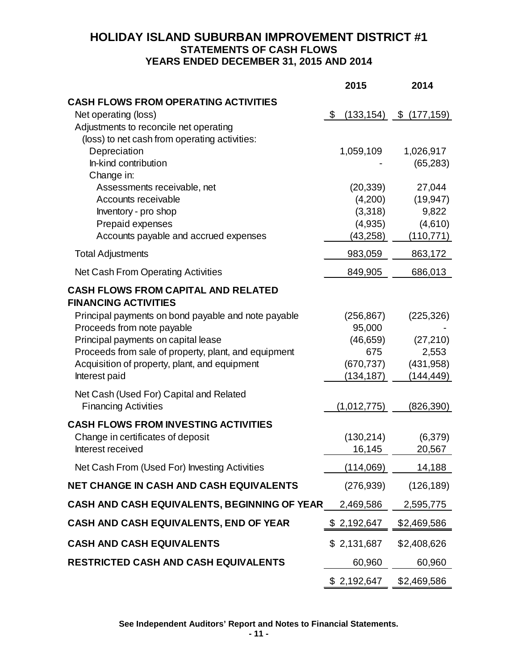# **HOLIDAY ISLAND SUBURBAN IMPROVEMENT DISTRICT #1 STATEMENTS OF CASH FLOWS YEARS ENDED DECEMBER 31, 2015 AND 2014**

|                                                                           | 2015                 | 2014             |
|---------------------------------------------------------------------------|----------------------|------------------|
| <b>CASH FLOWS FROM OPERATING ACTIVITIES</b>                               |                      |                  |
| Net operating (loss)<br>Adjustments to reconcile net operating            | \$<br>(133, 154)     | \$(177,159)      |
| (loss) to net cash from operating activities:                             |                      |                  |
| Depreciation                                                              | 1,059,109            | 1,026,917        |
| In-kind contribution                                                      |                      | (65, 283)        |
| Change in:                                                                |                      |                  |
| Assessments receivable, net                                               | (20, 339)            | 27,044           |
| Accounts receivable                                                       | (4,200)              | (19, 947)        |
| Inventory - pro shop<br>Prepaid expenses                                  | (3,318)              | 9,822<br>(4,610) |
| Accounts payable and accrued expenses                                     | (4,935)<br>(43, 258) | (110, 771)       |
| <b>Total Adjustments</b>                                                  | 983,059              | 863,172          |
| Net Cash From Operating Activities                                        | 849,905              | 686,013          |
|                                                                           |                      |                  |
| <b>CASH FLOWS FROM CAPITAL AND RELATED</b><br><b>FINANCING ACTIVITIES</b> |                      |                  |
| Principal payments on bond payable and note payable                       | (256, 867)           | (225, 326)       |
| Proceeds from note payable                                                | 95,000               |                  |
| Principal payments on capital lease                                       | (46, 659)            | (27, 210)        |
| Proceeds from sale of property, plant, and equipment                      | 675                  | 2,553            |
| Acquisition of property, plant, and equipment                             | (670, 737)           | (431, 958)       |
| Interest paid                                                             | (134, 187)           | (144,449)        |
| Net Cash (Used For) Capital and Related                                   |                      |                  |
| <b>Financing Activities</b>                                               | (1,012,775)          | (826,390)        |
| <b>CASH FLOWS FROM INVESTING ACTIVITIES</b>                               |                      |                  |
| Change in certificates of deposit                                         | (130, 214)           | (6,379)          |
| Interest received                                                         | 16,145               | 20,567           |
| Net Cash From (Used For) Investing Activities                             | (114,069)            | 14,188           |
| <b>NET CHANGE IN CASH AND CASH EQUIVALENTS</b>                            | (276, 939)           | (126, 189)       |
| CASH AND CASH EQUIVALENTS, BEGINNING OF YEAR                              | 2,469,586            | 2,595,775        |
| <b>CASH AND CASH EQUIVALENTS, END OF YEAR</b>                             | \$2,192,647          | \$2,469,586      |
| <b>CASH AND CASH EQUIVALENTS</b>                                          | \$2,131,687          | \$2,408,626      |
| <b>RESTRICTED CASH AND CASH EQUIVALENTS</b>                               | 60,960               | 60,960           |
|                                                                           | \$2,192,647          | \$2,469,586      |

**See Independent Auditors' Report and Notes to Financial Statements.**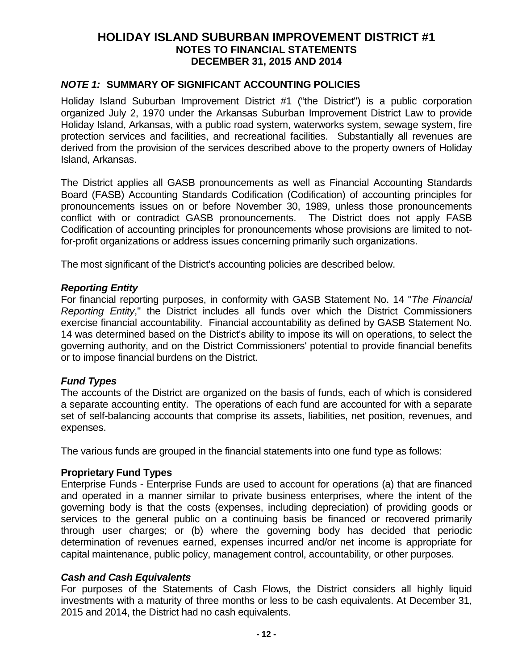### *NOTE 1:* **SUMMARY OF SIGNIFICANT ACCOUNTING POLICIES**

Holiday Island Suburban Improvement District #1 ("the District") is a public corporation organized July 2, 1970 under the Arkansas Suburban Improvement District Law to provide Holiday Island, Arkansas, with a public road system, waterworks system, sewage system, fire protection services and facilities, and recreational facilities. Substantially all revenues are derived from the provision of the services described above to the property owners of Holiday Island, Arkansas.

The District applies all GASB pronouncements as well as Financial Accounting Standards Board (FASB) Accounting Standards Codification (Codification) of accounting principles for pronouncements issues on or before November 30, 1989, unless those pronouncements conflict with or contradict GASB pronouncements. The District does not apply FASB Codification of accounting principles for pronouncements whose provisions are limited to notfor-profit organizations or address issues concerning primarily such organizations.

The most significant of the District's accounting policies are described below.

#### *Reporting Entity*

For financial reporting purposes, in conformity with GASB Statement No. 14 "*The Financial Reporting Entity*," the District includes all funds over which the District Commissioners exercise financial accountability. Financial accountability as defined by GASB Statement No. 14 was determined based on the District's ability to impose its will on operations, to select the governing authority, and on the District Commissioners' potential to provide financial benefits or to impose financial burdens on the District.

### *Fund Types*

The accounts of the District are organized on the basis of funds, each of which is considered a separate accounting entity. The operations of each fund are accounted for with a separate set of self-balancing accounts that comprise its assets, liabilities, net position, revenues, and expenses.

The various funds are grouped in the financial statements into one fund type as follows:

#### **Proprietary Fund Types**

Enterprise Funds - Enterprise Funds are used to account for operations (a) that are financed and operated in a manner similar to private business enterprises, where the intent of the governing body is that the costs (expenses, including depreciation) of providing goods or services to the general public on a continuing basis be financed or recovered primarily through user charges; or (b) where the governing body has decided that periodic determination of revenues earned, expenses incurred and/or net income is appropriate for capital maintenance, public policy, management control, accountability, or other purposes.

#### *Cash and Cash Equivalents*

For purposes of the Statements of Cash Flows, the District considers all highly liquid investments with a maturity of three months or less to be cash equivalents. At December 31, 2015 and 2014, the District had no cash equivalents.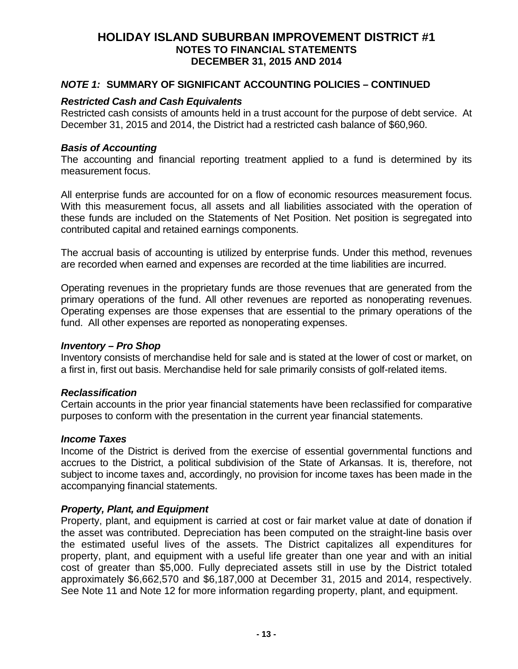#### *NOTE 1:* **SUMMARY OF SIGNIFICANT ACCOUNTING POLICIES – CONTINUED**

### *Restricted Cash and Cash Equivalents*

Restricted cash consists of amounts held in a trust account for the purpose of debt service. At December 31, 2015 and 2014, the District had a restricted cash balance of \$60,960.

#### *Basis of Accounting*

The accounting and financial reporting treatment applied to a fund is determined by its measurement focus.

All enterprise funds are accounted for on a flow of economic resources measurement focus. With this measurement focus, all assets and all liabilities associated with the operation of these funds are included on the Statements of Net Position. Net position is segregated into contributed capital and retained earnings components.

The accrual basis of accounting is utilized by enterprise funds. Under this method, revenues are recorded when earned and expenses are recorded at the time liabilities are incurred.

Operating revenues in the proprietary funds are those revenues that are generated from the primary operations of the fund. All other revenues are reported as nonoperating revenues. Operating expenses are those expenses that are essential to the primary operations of the fund. All other expenses are reported as nonoperating expenses.

#### *Inventory – Pro Shop*

Inventory consists of merchandise held for sale and is stated at the lower of cost or market, on a first in, first out basis. Merchandise held for sale primarily consists of golf-related items.

### *Reclassification*

Certain accounts in the prior year financial statements have been reclassified for comparative purposes to conform with the presentation in the current year financial statements.

### *Income Taxes*

Income of the District is derived from the exercise of essential governmental functions and accrues to the District, a political subdivision of the State of Arkansas. It is, therefore, not subject to income taxes and, accordingly, no provision for income taxes has been made in the accompanying financial statements.

### *Property, Plant, and Equipment*

Property, plant, and equipment is carried at cost or fair market value at date of donation if the asset was contributed. Depreciation has been computed on the straight-line basis over the estimated useful lives of the assets. The District capitalizes all expenditures for property, plant, and equipment with a useful life greater than one year and with an initial cost of greater than \$5,000. Fully depreciated assets still in use by the District totaled approximately \$6,662,570 and \$6,187,000 at December 31, 2015 and 2014, respectively. See Note 11 and Note 12 for more information regarding property, plant, and equipment.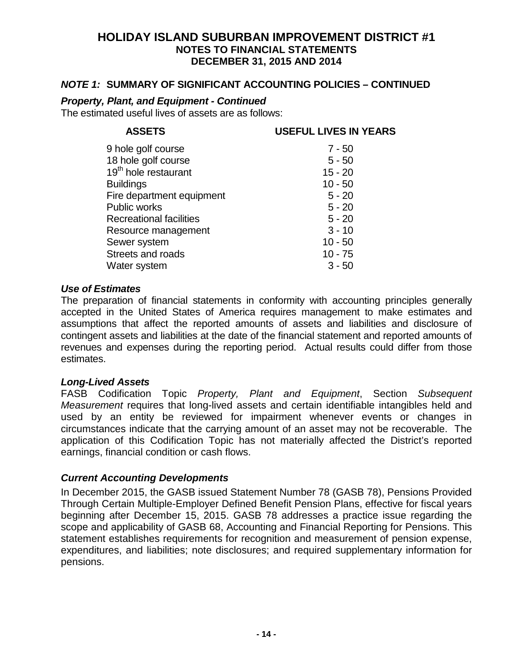#### *NOTE 1:* **SUMMARY OF SIGNIFICANT ACCOUNTING POLICIES – CONTINUED**

#### *Property, Plant, and Equipment - Continued*

The estimated useful lives of assets are as follows:

### **ASSETS USEFUL LIVES IN YEARS**

| 9 hole golf course               | $7 - 50$  |
|----------------------------------|-----------|
| 18 hole golf course              | $5 - 50$  |
| 19 <sup>th</sup> hole restaurant | $15 - 20$ |
| <b>Buildings</b>                 | $10 - 50$ |
| Fire department equipment        | $5 - 20$  |
| <b>Public works</b>              | $5 - 20$  |
| <b>Recreational facilities</b>   | $5 - 20$  |
| Resource management              | $3 - 10$  |
| Sewer system                     | $10 - 50$ |
| Streets and roads                | $10 - 75$ |
| Water system                     | $3 - 50$  |

#### *Use of Estimates*

The preparation of financial statements in conformity with accounting principles generally accepted in the United States of America requires management to make estimates and assumptions that affect the reported amounts of assets and liabilities and disclosure of contingent assets and liabilities at the date of the financial statement and reported amounts of revenues and expenses during the reporting period. Actual results could differ from those estimates.

#### *Long-Lived Assets*

FASB Codification Topic *Property, Plant and Equipment*, Section *Subsequent Measurement* requires that long-lived assets and certain identifiable intangibles held and used by an entity be reviewed for impairment whenever events or changes in circumstances indicate that the carrying amount of an asset may not be recoverable. The application of this Codification Topic has not materially affected the District's reported earnings, financial condition or cash flows.

### *Current Accounting Developments*

In December 2015, the GASB issued Statement Number 78 (GASB 78), Pensions Provided Through Certain Multiple-Employer Defined Benefit Pension Plans, effective for fiscal years beginning after December 15, 2015. GASB 78 addresses a practice issue regarding the scope and applicability of GASB 68, Accounting and Financial Reporting for Pensions. This statement establishes requirements for recognition and measurement of pension expense, expenditures, and liabilities; note disclosures; and required supplementary information for pensions.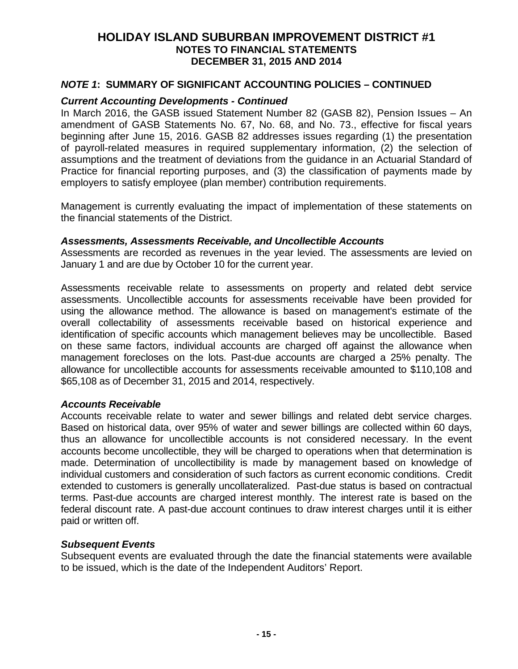### *NOTE 1***: SUMMARY OF SIGNIFICANT ACCOUNTING POLICIES – CONTINUED**

#### *Current Accounting Developments - Continued*

In March 2016, the GASB issued Statement Number 82 (GASB 82), Pension Issues – An amendment of GASB Statements No. 67, No. 68, and No. 73., effective for fiscal years beginning after June 15, 2016. GASB 82 addresses issues regarding (1) the presentation of payroll-related measures in required supplementary information, (2) the selection of assumptions and the treatment of deviations from the guidance in an Actuarial Standard of Practice for financial reporting purposes, and (3) the classification of payments made by employers to satisfy employee (plan member) contribution requirements.

Management is currently evaluating the impact of implementation of these statements on the financial statements of the District.

#### *Assessments, Assessments Receivable, and Uncollectible Accounts*

Assessments are recorded as revenues in the year levied. The assessments are levied on January 1 and are due by October 10 for the current year.

Assessments receivable relate to assessments on property and related debt service assessments. Uncollectible accounts for assessments receivable have been provided for using the allowance method. The allowance is based on management's estimate of the overall collectability of assessments receivable based on historical experience and identification of specific accounts which management believes may be uncollectible. Based on these same factors, individual accounts are charged off against the allowance when management forecloses on the lots. Past-due accounts are charged a 25% penalty. The allowance for uncollectible accounts for assessments receivable amounted to \$110,108 and \$65,108 as of December 31, 2015 and 2014, respectively.

#### *Accounts Receivable*

Accounts receivable relate to water and sewer billings and related debt service charges. Based on historical data, over 95% of water and sewer billings are collected within 60 days, thus an allowance for uncollectible accounts is not considered necessary. In the event accounts become uncollectible, they will be charged to operations when that determination is made. Determination of uncollectibility is made by management based on knowledge of individual customers and consideration of such factors as current economic conditions. Credit extended to customers is generally uncollateralized. Past-due status is based on contractual terms. Past-due accounts are charged interest monthly. The interest rate is based on the federal discount rate. A past-due account continues to draw interest charges until it is either paid or written off.

#### *Subsequent Events*

Subsequent events are evaluated through the date the financial statements were available to be issued, which is the date of the Independent Auditors' Report.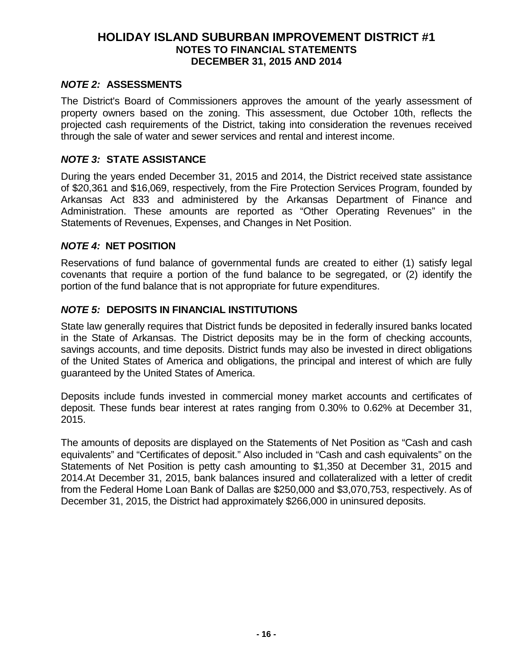### *NOTE 2:* **ASSESSMENTS**

The District's Board of Commissioners approves the amount of the yearly assessment of property owners based on the zoning. This assessment, due October 10th, reflects the projected cash requirements of the District, taking into consideration the revenues received through the sale of water and sewer services and rental and interest income.

### *NOTE 3:* **STATE ASSISTANCE**

During the years ended December 31, 2015 and 2014, the District received state assistance of \$20,361 and \$16,069, respectively, from the Fire Protection Services Program, founded by Arkansas Act 833 and administered by the Arkansas Department of Finance and Administration. These amounts are reported as "Other Operating Revenues" in the Statements of Revenues, Expenses, and Changes in Net Position.

### *NOTE 4:* **NET POSITION**

Reservations of fund balance of governmental funds are created to either (1) satisfy legal covenants that require a portion of the fund balance to be segregated, or (2) identify the portion of the fund balance that is not appropriate for future expenditures.

#### *NOTE 5:* **DEPOSITS IN FINANCIAL INSTITUTIONS**

State law generally requires that District funds be deposited in federally insured banks located in the State of Arkansas. The District deposits may be in the form of checking accounts, savings accounts, and time deposits. District funds may also be invested in direct obligations of the United States of America and obligations, the principal and interest of which are fully guaranteed by the United States of America.

Deposits include funds invested in commercial money market accounts and certificates of deposit. These funds bear interest at rates ranging from 0.30% to 0.62% at December 31, 2015.

The amounts of deposits are displayed on the Statements of Net Position as "Cash and cash equivalents" and "Certificates of deposit." Also included in "Cash and cash equivalents" on the Statements of Net Position is petty cash amounting to \$1,350 at December 31, 2015 and 2014.At December 31, 2015, bank balances insured and collateralized with a letter of credit from the Federal Home Loan Bank of Dallas are \$250,000 and \$3,070,753, respectively. As of December 31, 2015, the District had approximately \$266,000 in uninsured deposits.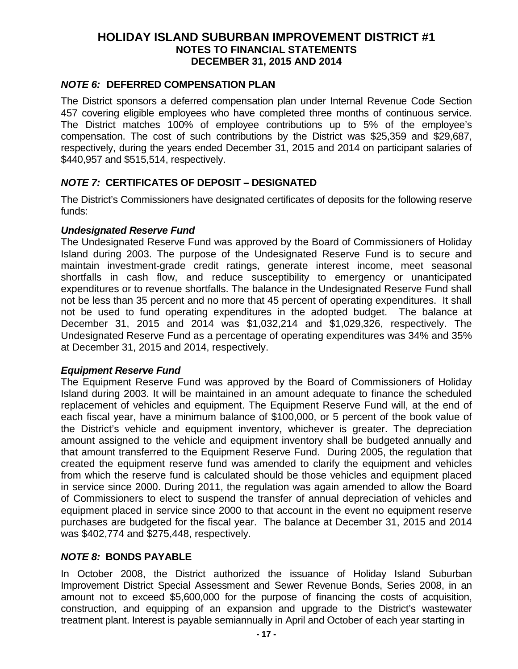### *NOTE 6:* **DEFERRED COMPENSATION PLAN**

The District sponsors a deferred compensation plan under Internal Revenue Code Section 457 covering eligible employees who have completed three months of continuous service. The District matches 100% of employee contributions up to 5% of the employee's compensation. The cost of such contributions by the District was \$25,359 and \$29,687, respectively, during the years ended December 31, 2015 and 2014 on participant salaries of \$440,957 and \$515,514, respectively.

### *NOTE 7:* **CERTIFICATES OF DEPOSIT – DESIGNATED**

The District's Commissioners have designated certificates of deposits for the following reserve funds:

#### *Undesignated Reserve Fund*

The Undesignated Reserve Fund was approved by the Board of Commissioners of Holiday Island during 2003. The purpose of the Undesignated Reserve Fund is to secure and maintain investment-grade credit ratings, generate interest income, meet seasonal shortfalls in cash flow, and reduce susceptibility to emergency or unanticipated expenditures or to revenue shortfalls. The balance in the Undesignated Reserve Fund shall not be less than 35 percent and no more that 45 percent of operating expenditures. It shall not be used to fund operating expenditures in the adopted budget. The balance at December 31, 2015 and 2014 was \$1,032,214 and \$1,029,326, respectively. The Undesignated Reserve Fund as a percentage of operating expenditures was 34% and 35% at December 31, 2015 and 2014, respectively.

### *Equipment Reserve Fund*

The Equipment Reserve Fund was approved by the Board of Commissioners of Holiday Island during 2003. It will be maintained in an amount adequate to finance the scheduled replacement of vehicles and equipment. The Equipment Reserve Fund will, at the end of each fiscal year, have a minimum balance of \$100,000, or 5 percent of the book value of the District's vehicle and equipment inventory, whichever is greater. The depreciation amount assigned to the vehicle and equipment inventory shall be budgeted annually and that amount transferred to the Equipment Reserve Fund. During 2005, the regulation that created the equipment reserve fund was amended to clarify the equipment and vehicles from which the reserve fund is calculated should be those vehicles and equipment placed in service since 2000. During 2011, the regulation was again amended to allow the Board of Commissioners to elect to suspend the transfer of annual depreciation of vehicles and equipment placed in service since 2000 to that account in the event no equipment reserve purchases are budgeted for the fiscal year. The balance at December 31, 2015 and 2014 was \$402,774 and \$275,448, respectively.

### *NOTE 8:* **BONDS PAYABLE**

In October 2008, the District authorized the issuance of Holiday Island Suburban Improvement District Special Assessment and Sewer Revenue Bonds, Series 2008, in an amount not to exceed \$5,600,000 for the purpose of financing the costs of acquisition, construction, and equipping of an expansion and upgrade to the District's wastewater treatment plant. Interest is payable semiannually in April and October of each year starting in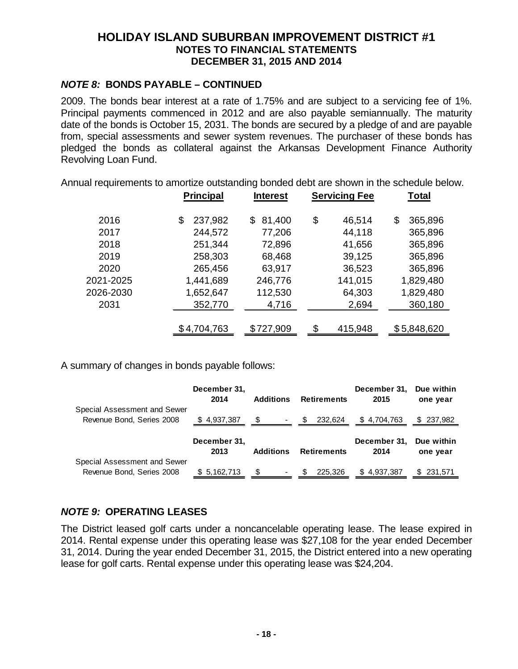### *NOTE 8:* **BONDS PAYABLE – CONTINUED**

2009. The bonds bear interest at a rate of 1.75% and are subject to a servicing fee of 1%. Principal payments commenced in 2012 and are also payable semiannually. The maturity date of the bonds is October 15, 2031. The bonds are secured by a pledge of and are payable from, special assessments and sewer system revenues. The purchaser of these bonds has pledged the bonds as collateral against the Arkansas Development Finance Authority Revolving Loan Fund.

Annual requirements to amortize outstanding bonded debt are shown in the schedule below.

|           | <b>Principal</b> | <b>Interest</b> | <b>Servicing Fee</b> | Total         |
|-----------|------------------|-----------------|----------------------|---------------|
| 2016      | 237,982<br>\$    | 81,400<br>\$    | \$<br>46,514         | \$<br>365,896 |
| 2017      | 244,572          | 77,206          | 44,118               | 365,896       |
| 2018      | 251,344          | 72,896          | 41,656               | 365,896       |
| 2019      | 258,303          | 68,468          | 39,125               | 365,896       |
| 2020      | 265,456          | 63,917          | 36,523               | 365,896       |
| 2021-2025 | 1,441,689        | 246,776         | 141,015              | 1,829,480     |
| 2026-2030 | 1,652,647        | 112,530         | 64,303               | 1,829,480     |
| 2031      | 352,770          | 4,716           | 2,694                | 360,180       |
|           |                  |                 |                      |               |
|           | \$4,704,763      | \$727,909       | ና.<br>415,948        | \$5,848,620   |

A summary of changes in bonds payable follows:

|                              | December 31,<br>2014 | <b>Additions</b>    | <b>Retirements</b>  | December 31.<br>2015 | Due within<br>one year |
|------------------------------|----------------------|---------------------|---------------------|----------------------|------------------------|
| Special Assessment and Sewer |                      |                     |                     |                      |                        |
| Revenue Bond, Series 2008    | \$4,937,387          | S<br>$\blacksquare$ | 232,624<br><b>S</b> | \$4,704,763          | \$237,982              |
|                              |                      |                     |                     |                      |                        |
|                              |                      |                     |                     |                      |                        |
|                              | December 31,         |                     |                     | December 31,         | Due within             |
|                              | 2013                 | <b>Additions</b>    | <b>Retirements</b>  | 2014                 | one year               |
| Special Assessment and Sewer |                      |                     |                     |                      |                        |

# *NOTE 9:* **OPERATING LEASES**

The District leased golf carts under a noncancelable operating lease. The lease expired in 2014. Rental expense under this operating lease was \$27,108 for the year ended December 31, 2014. During the year ended December 31, 2015, the District entered into a new operating lease for golf carts. Rental expense under this operating lease was \$24,204.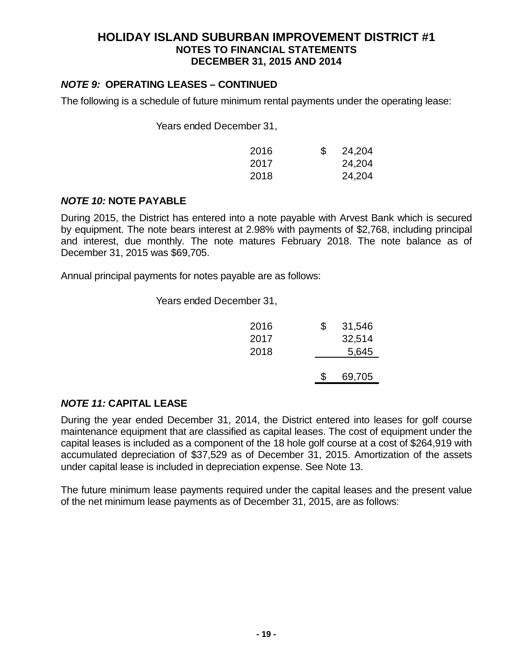# *NOTE 9:* **OPERATING LEASES – CONTINUED**

The following is a schedule of future minimum rental payments under the operating lease:

Years ended December 31,

| 2016 | \$<br>24,204 |
|------|--------------|
| 2017 | 24,204       |
| 2018 | 24,204       |

### *NOTE 10:* **NOTE PAYABLE**

During 2015, the District has entered into a note payable with Arvest Bank which is secured by equipment. The note bears interest at 2.98% with payments of \$2,768, including principal and interest, due monthly. The note matures February 2018. The note balance as of December 31, 2015 was \$69,705.

Annual principal payments for notes payable are as follows:

Years ended December 31,

| 2016<br>2017<br>2018 | \$<br>31,546<br>32,514<br>5,645 |
|----------------------|---------------------------------|
|                      | 69,705                          |

# *NOTE 11:* **CAPITAL LEASE**

During the year ended December 31, 2014, the District entered into leases for golf course maintenance equipment that are classified as capital leases. The cost of equipment under the capital leases is included as a component of the 18 hole golf course at a cost of \$264,919 with accumulated depreciation of \$37,529 as of December 31, 2015. Amortization of the assets under capital lease is included in depreciation expense. See Note 13.

The future minimum lease payments required under the capital leases and the present value of the net minimum lease payments as of December 31, 2015, are as follows: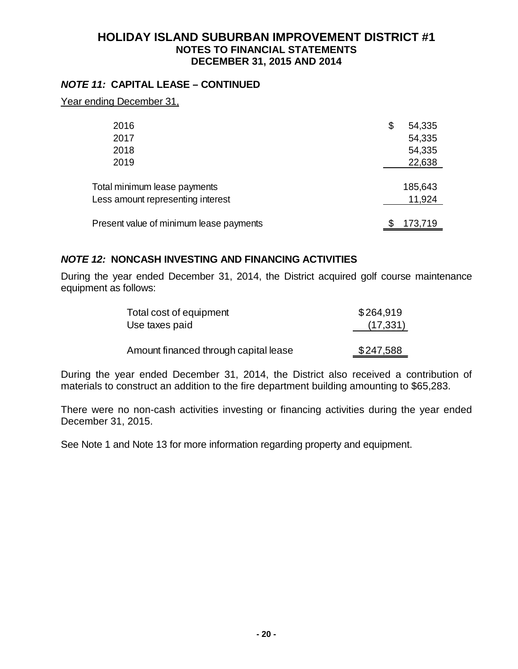### *NOTE 11:* **CAPITAL LEASE – CONTINUED**

Year ending December 31,

| 2016<br>2017<br>2018<br>2019                                      | \$<br>54,335<br>54,335<br>54,335<br>22,638 |
|-------------------------------------------------------------------|--------------------------------------------|
| Total minimum lease payments<br>Less amount representing interest | 185,643<br>11,924                          |
| Present value of minimum lease payments                           | 173,719                                    |

### *NOTE 12:* **NONCASH INVESTING AND FINANCING ACTIVITIES**

During the year ended December 31, 2014, the District acquired golf course maintenance equipment as follows:

| Total cost of equipment               | \$264,919 |
|---------------------------------------|-----------|
| Use taxes paid                        | (17, 331) |
|                                       |           |
| Amount financed through capital lease | \$247,588 |

During the year ended December 31, 2014, the District also received a contribution of materials to construct an addition to the fire department building amounting to \$65,283.

There were no non-cash activities investing or financing activities during the year ended December 31, 2015.

See Note 1 and Note 13 for more information regarding property and equipment.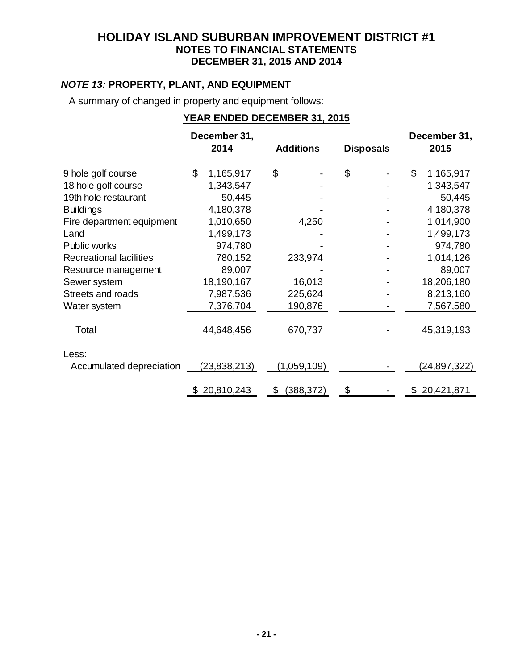# *NOTE 13:* **PROPERTY, PLANT, AND EQUIPMENT**

A summary of changed in property and equipment follows:

# **YEAR ENDED DECEMBER 31, 2015**

|                                | December 31,                |                  |                  | December 31,    |
|--------------------------------|-----------------------------|------------------|------------------|-----------------|
|                                | 2014                        | <b>Additions</b> | <b>Disposals</b> | 2015            |
| 9 hole golf course             | $\mathfrak{S}$<br>1,165,917 | \$               | \$               | \$<br>1,165,917 |
| 18 hole golf course            | 1,343,547                   |                  |                  | 1,343,547       |
| 19th hole restaurant           | 50,445                      |                  |                  | 50,445          |
| <b>Buildings</b>               | 4,180,378                   |                  |                  | 4,180,378       |
| Fire department equipment      | 1,010,650                   | 4,250            |                  | 1,014,900       |
| Land                           | 1,499,173                   |                  |                  | 1,499,173       |
| Public works                   | 974,780                     |                  |                  | 974,780         |
| <b>Recreational facilities</b> | 780,152                     | 233,974          |                  | 1,014,126       |
| Resource management            | 89,007                      |                  |                  | 89,007          |
| Sewer system                   | 18,190,167                  | 16,013           |                  | 18,206,180      |
| Streets and roads              | 7,987,536                   | 225,624          |                  | 8,213,160       |
| Water system                   | 7,376,704                   | 190,876          |                  | 7,567,580       |
| Total                          | 44,648,456                  | 670,737          |                  | 45,319,193      |
| Less:                          |                             |                  |                  |                 |
| Accumulated depreciation       | (23, 838, 213)              | (1,059,109)      |                  | (24,897,322)    |
|                                | 20,810,243<br>\$            | \$<br>(388, 372) | \$               | \$20,421,871    |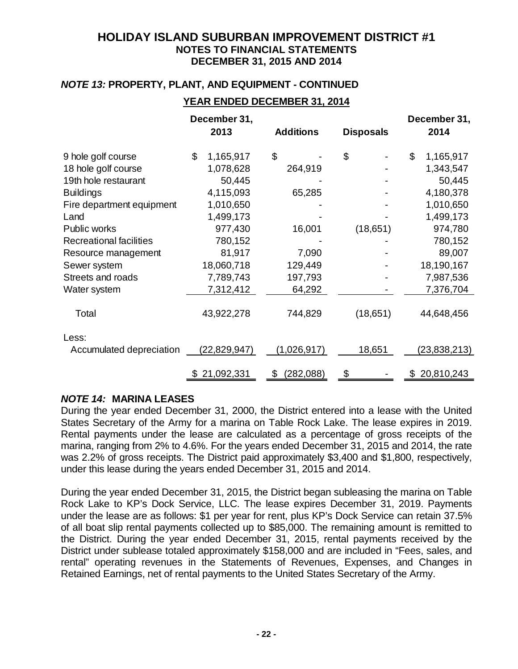### *NOTE 13:* **PROPERTY, PLANT, AND EQUIPMENT - CONTINUED**

### **YEAR ENDED DECEMBER 31, 2014**

|                                | December 31,<br>2013 | <b>Additions</b> | <b>Disposals</b> | December 31,<br>2014 |
|--------------------------------|----------------------|------------------|------------------|----------------------|
| 9 hole golf course             | \$<br>1,165,917      | \$               | \$               | \$<br>1,165,917      |
| 18 hole golf course            | 1,078,628            | 264,919          |                  | 1,343,547            |
| 19th hole restaurant           | 50,445               |                  |                  | 50,445               |
| <b>Buildings</b>               | 4,115,093            | 65,285           |                  | 4,180,378            |
| Fire department equipment      | 1,010,650            |                  |                  | 1,010,650            |
| Land                           | 1,499,173            |                  |                  | 1,499,173            |
| Public works                   | 977,430              | 16,001           | (18,651)         | 974,780              |
| <b>Recreational facilities</b> | 780,152              |                  |                  | 780,152              |
| Resource management            | 81,917               | 7,090            |                  | 89,007               |
| Sewer system                   | 18,060,718           | 129,449          |                  | 18,190,167           |
| Streets and roads              | 7,789,743            | 197,793          |                  | 7,987,536            |
| Water system                   | 7,312,412            | 64,292           |                  | 7,376,704            |
| Total                          | 43,922,278           | 744,829          | (18,651)         | 44,648,456           |
| Less:                          |                      |                  |                  |                      |
| Accumulated depreciation       | (22, 829, 947)       | (1,026,917)      | 18,651           | (23,838,213)         |
|                                | \$21,092,331         | \$<br>(282,088)  | \$               | \$20,810,243         |

### *NOTE 14:* **MARINA LEASES**

During the year ended December 31, 2000, the District entered into a lease with the United States Secretary of the Army for a marina on Table Rock Lake. The lease expires in 2019. Rental payments under the lease are calculated as a percentage of gross receipts of the marina, ranging from 2% to 4.6%. For the years ended December 31, 2015 and 2014, the rate was 2.2% of gross receipts. The District paid approximately \$3,400 and \$1,800, respectively, under this lease during the years ended December 31, 2015 and 2014.

During the year ended December 31, 2015, the District began subleasing the marina on Table Rock Lake to KP's Dock Service, LLC. The lease expires December 31, 2019. Payments under the lease are as follows: \$1 per year for rent, plus KP's Dock Service can retain 37.5% of all boat slip rental payments collected up to \$85,000. The remaining amount is remitted to the District. During the year ended December 31, 2015, rental payments received by the District under sublease totaled approximately \$158,000 and are included in "Fees, sales, and rental" operating revenues in the Statements of Revenues, Expenses, and Changes in Retained Earnings, net of rental payments to the United States Secretary of the Army.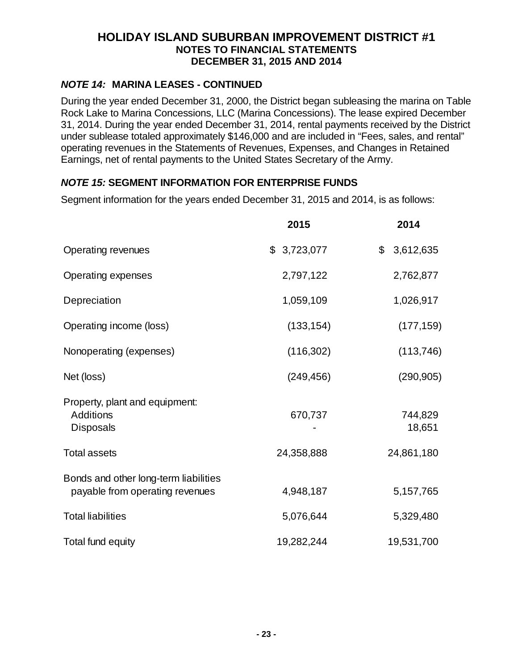### *NOTE 14:* **MARINA LEASES - CONTINUED**

During the year ended December 31, 2000, the District began subleasing the marina on Table Rock Lake to Marina Concessions, LLC (Marina Concessions). The lease expired December 31, 2014. During the year ended December 31, 2014, rental payments received by the District under sublease totaled approximately \$146,000 and are included in "Fees, sales, and rental" operating revenues in the Statements of Revenues, Expenses, and Changes in Retained Earnings, net of rental payments to the United States Secretary of the Army.

# *NOTE 15:* **SEGMENT INFORMATION FOR ENTERPRISE FUNDS**

Segment information for the years ended December 31, 2015 and 2014, is as follows:

|                                                                          | 2015        | 2014              |
|--------------------------------------------------------------------------|-------------|-------------------|
| Operating revenues                                                       | \$3,723,077 | \$3,612,635       |
| <b>Operating expenses</b>                                                | 2,797,122   | 2,762,877         |
| Depreciation                                                             | 1,059,109   | 1,026,917         |
| Operating income (loss)                                                  | (133, 154)  | (177, 159)        |
| Nonoperating (expenses)                                                  | (116, 302)  | (113, 746)        |
| Net (loss)                                                               | (249, 456)  | (290, 905)        |
| Property, plant and equipment:<br><b>Additions</b><br><b>Disposals</b>   | 670,737     | 744,829<br>18,651 |
| <b>Total assets</b>                                                      | 24,358,888  | 24,861,180        |
| Bonds and other long-term liabilities<br>payable from operating revenues | 4,948,187   | 5, 157, 765       |
| <b>Total liabilities</b>                                                 | 5,076,644   | 5,329,480         |
| Total fund equity                                                        | 19,282,244  | 19,531,700        |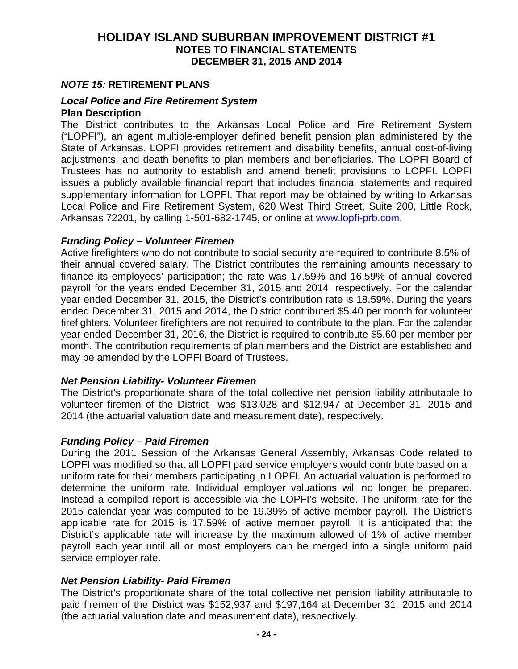#### *NOTE 15:* **RETIREMENT PLANS**

#### *Local Police and Fire Retirement System*  **Plan Description**

The District contributes to the Arkansas Local Police and Fire Retirement System ("LOPFI"), an agent multiple-employer defined benefit pension plan administered by the State of Arkansas. LOPFI provides retirement and disability benefits, annual cost-of-living adjustments, and death benefits to plan members and beneficiaries. The LOPFI Board of Trustees has no authority to establish and amend benefit provisions to LOPFI. LOPFI issues a publicly available financial report that includes financial statements and required supplementary information for LOPFI. That report may be obtained by writing to Arkansas Local Police and Fire Retirement System, 620 West Third Street, Suite 200, Little Rock, Arkansas 72201, by calling 1-501-682-1745, or online at www.lopfi-prb.com.

#### *Funding Policy – Volunteer Firemen*

Active firefighters who do not contribute to social security are required to contribute 8.5% of their annual covered salary. The District contributes the remaining amounts necessary to finance its employees' participation; the rate was 17.59% and 16.59% of annual covered payroll for the years ended December 31, 2015 and 2014, respectively. For the calendar year ended December 31, 2015, the District's contribution rate is 18.59%. During the years ended December 31, 2015 and 2014, the District contributed \$5.40 per month for volunteer firefighters. Volunteer firefighters are not required to contribute to the plan. For the calendar year ended December 31, 2016, the District is required to contribute \$5.60 per member per month. The contribution requirements of plan members and the District are established and may be amended by the LOPFI Board of Trustees.

#### *Net Pension Liability- Volunteer Firemen*

The District's proportionate share of the total collective net pension liability attributable to volunteer firemen of the District was \$13,028 and \$12,947 at December 31, 2015 and 2014 (the actuarial valuation date and measurement date), respectively.

#### *Funding Policy – Paid Firemen*

During the 2011 Session of the Arkansas General Assembly, Arkansas Code related to LOPFI was modified so that all LOPFI paid service employers would contribute based on a uniform rate for their members participating in LOPFI. An actuarial valuation is performed to determine the uniform rate. Individual employer valuations will no longer be prepared. Instead a compiled report is accessible via the LOPFI's website. The uniform rate for the 2015 calendar year was computed to be 19.39% of active member payroll. The District's applicable rate for 2015 is 17.59% of active member payroll. It is anticipated that the District's applicable rate will increase by the maximum allowed of 1% of active member payroll each year until all or most employers can be merged into a single uniform paid service employer rate.

#### *Net Pension Liability- Paid Firemen*

The District's proportionate share of the total collective net pension liability attributable to paid firemen of the District was \$152,937 and \$197,164 at December 31, 2015 and 2014 (the actuarial valuation date and measurement date), respectively.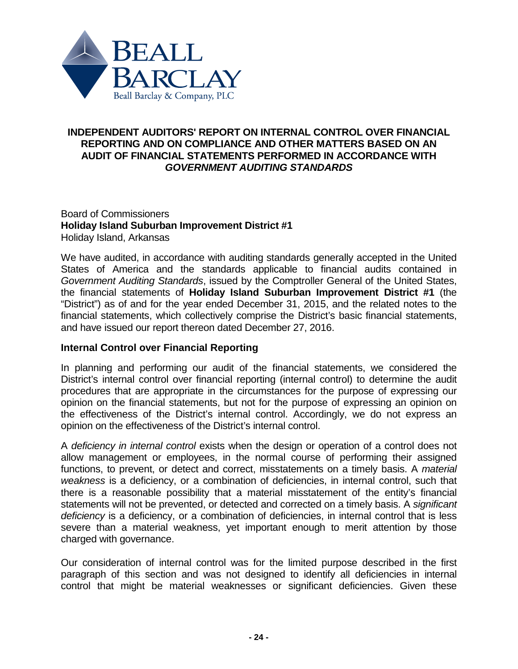

### **INDEPENDENT AUDITORS' REPORT ON INTERNAL CONTROL OVER FINANCIAL REPORTING AND ON COMPLIANCE AND OTHER MATTERS BASED ON AN AUDIT OF FINANCIAL STATEMENTS PERFORMED IN ACCORDANCE WITH** *GOVERNMENT AUDITING STANDARDS*

#### Board of Commissioners **Holiday Island Suburban Improvement District #1** Holiday Island, Arkansas

We have audited, in accordance with auditing standards generally accepted in the United States of America and the standards applicable to financial audits contained in *Government Auditing Standards*, issued by the Comptroller General of the United States, the financial statements of **Holiday Island Suburban Improvement District #1** (the "District") as of and for the year ended December 31, 2015, and the related notes to the financial statements, which collectively comprise the District's basic financial statements, and have issued our report thereon dated December 27, 2016.

# **Internal Control over Financial Reporting**

In planning and performing our audit of the financial statements, we considered the District's internal control over financial reporting (internal control) to determine the audit procedures that are appropriate in the circumstances for the purpose of expressing our opinion on the financial statements, but not for the purpose of expressing an opinion on the effectiveness of the District's internal control. Accordingly, we do not express an opinion on the effectiveness of the District's internal control.

A *deficiency in internal control* exists when the design or operation of a control does not allow management or employees, in the normal course of performing their assigned functions, to prevent, or detect and correct, misstatements on a timely basis. A *material weakness* is a deficiency, or a combination of deficiencies, in internal control, such that there is a reasonable possibility that a material misstatement of the entity's financial statements will not be prevented, or detected and corrected on a timely basis. A *significant deficiency* is a deficiency, or a combination of deficiencies, in internal control that is less severe than a material weakness, yet important enough to merit attention by those charged with governance.

Our consideration of internal control was for the limited purpose described in the first paragraph of this section and was not designed to identify all deficiencies in internal control that might be material weaknesses or significant deficiencies. Given these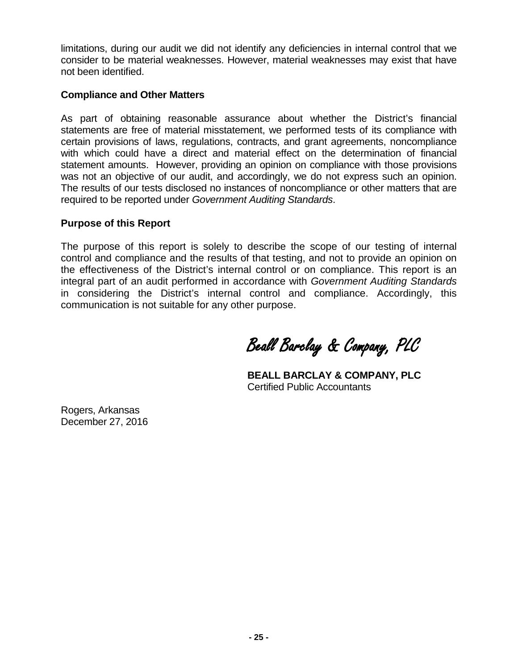limitations, during our audit we did not identify any deficiencies in internal control that we consider to be material weaknesses. However, material weaknesses may exist that have not been identified.

### **Compliance and Other Matters**

As part of obtaining reasonable assurance about whether the District's financial statements are free of material misstatement, we performed tests of its compliance with certain provisions of laws, regulations, contracts, and grant agreements, noncompliance with which could have a direct and material effect on the determination of financial statement amounts. However, providing an opinion on compliance with those provisions was not an objective of our audit, and accordingly, we do not express such an opinion. The results of our tests disclosed no instances of noncompliance or other matters that are required to be reported under *Government Auditing Standards*.

### **Purpose of this Report**

The purpose of this report is solely to describe the scope of our testing of internal control and compliance and the results of that testing, and not to provide an opinion on the effectiveness of the District's internal control or on compliance. This report is an integral part of an audit performed in accordance with *Government Auditing Standards* in considering the District's internal control and compliance. Accordingly, this communication is not suitable for any other purpose.

Beall Barclay & Company, PLC

**BEALL BARCLAY & COMPANY, PLC** Certified Public Accountants

Rogers, Arkansas December 27, 2016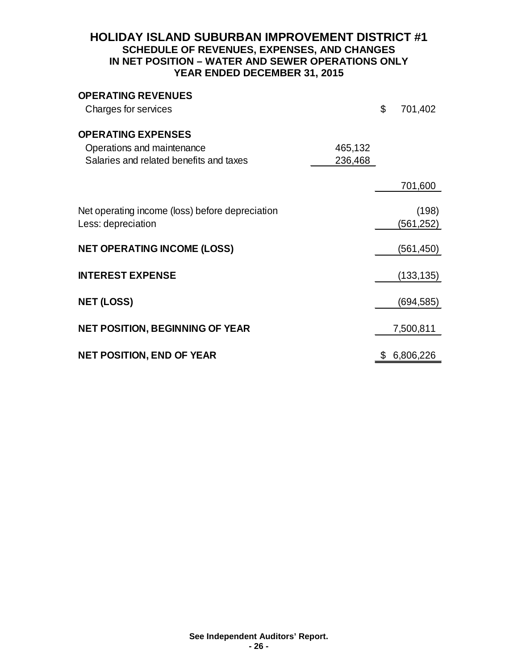### **HOLIDAY ISLAND SUBURBAN IMPROVEMENT DISTRICT #1 SCHEDULE OF REVENUES, EXPENSES, AND CHANGES IN NET POSITION – WATER AND SEWER OPERATIONS ONLY YEAR ENDED DECEMBER 31, 2015**

| <b>OPERATING REVENUES</b><br>Charges for services                                                  |                    | \$<br>701,402       |
|----------------------------------------------------------------------------------------------------|--------------------|---------------------|
| <b>OPERATING EXPENSES</b><br>Operations and maintenance<br>Salaries and related benefits and taxes | 465,132<br>236,468 |                     |
|                                                                                                    |                    | 701,600             |
| Net operating income (loss) before depreciation<br>Less: depreciation                              |                    | (198)<br>(561, 252) |
| <b>NET OPERATING INCOME (LOSS)</b>                                                                 |                    | (561, 450)          |
| <b>INTEREST EXPENSE</b>                                                                            |                    | (133, 135)          |
| <b>NET (LOSS)</b>                                                                                  |                    | (694, 585)          |
| <b>NET POSITION, BEGINNING OF YEAR</b>                                                             |                    | 7,500,811           |
| <b>NET POSITION, END OF YEAR</b>                                                                   |                    | \$<br>6,806,226     |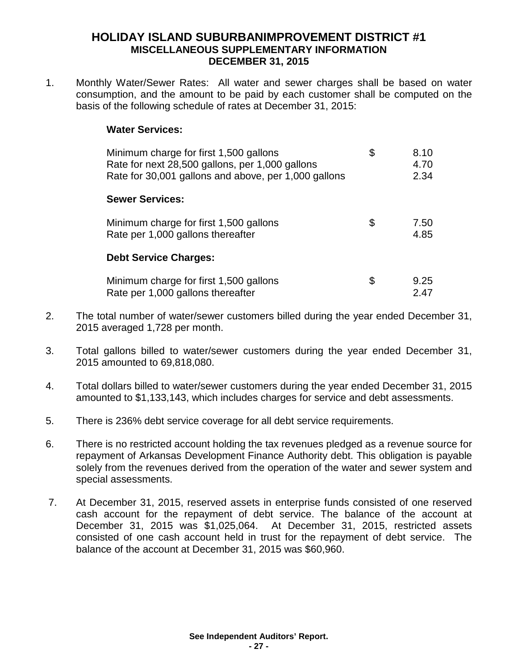### **HOLIDAY ISLAND SUBURBANIMPROVEMENT DISTRICT #1 MISCELLANEOUS SUPPLEMENTARY INFORMATION DECEMBER 31, 2015**

1. Monthly Water/Sewer Rates: All water and sewer charges shall be based on water consumption, and the amount to be paid by each customer shall be computed on the basis of the following schedule of rates at December 31, 2015:

### **Water Services:**

| Minimum charge for first 1,500 gallons<br>Rate for next 28,500 gallons, per 1,000 gallons<br>Rate for 30,001 gallons and above, per 1,000 gallons | \$ | 8.10<br>4.70<br>2.34 |
|---------------------------------------------------------------------------------------------------------------------------------------------------|----|----------------------|
| <b>Sewer Services:</b>                                                                                                                            |    |                      |
| Minimum charge for first 1,500 gallons<br>Rate per 1,000 gallons thereafter                                                                       | \$ | 7.50<br>4.85         |
| <b>Debt Service Charges:</b>                                                                                                                      |    |                      |
| Minimum charge for first 1,500 gallons<br>Rate per 1,000 gallons thereafter                                                                       | S. | 9.25<br>2.47         |

- 2. The total number of water/sewer customers billed during the year ended December 31, 2015 averaged 1,728 per month.
- 3. Total gallons billed to water/sewer customers during the year ended December 31, 2015 amounted to 69,818,080.
- 4. Total dollars billed to water/sewer customers during the year ended December 31, 2015 amounted to \$1,133,143, which includes charges for service and debt assessments.
- 5. There is 236% debt service coverage for all debt service requirements.
- 6. There is no restricted account holding the tax revenues pledged as a revenue source for repayment of Arkansas Development Finance Authority debt. This obligation is payable solely from the revenues derived from the operation of the water and sewer system and special assessments.
- 7. At December 31, 2015, reserved assets in enterprise funds consisted of one reserved cash account for the repayment of debt service. The balance of the account at December 31, 2015 was \$1,025,064. At December 31, 2015, restricted assets consisted of one cash account held in trust for the repayment of debt service. The balance of the account at December 31, 2015 was \$60,960.